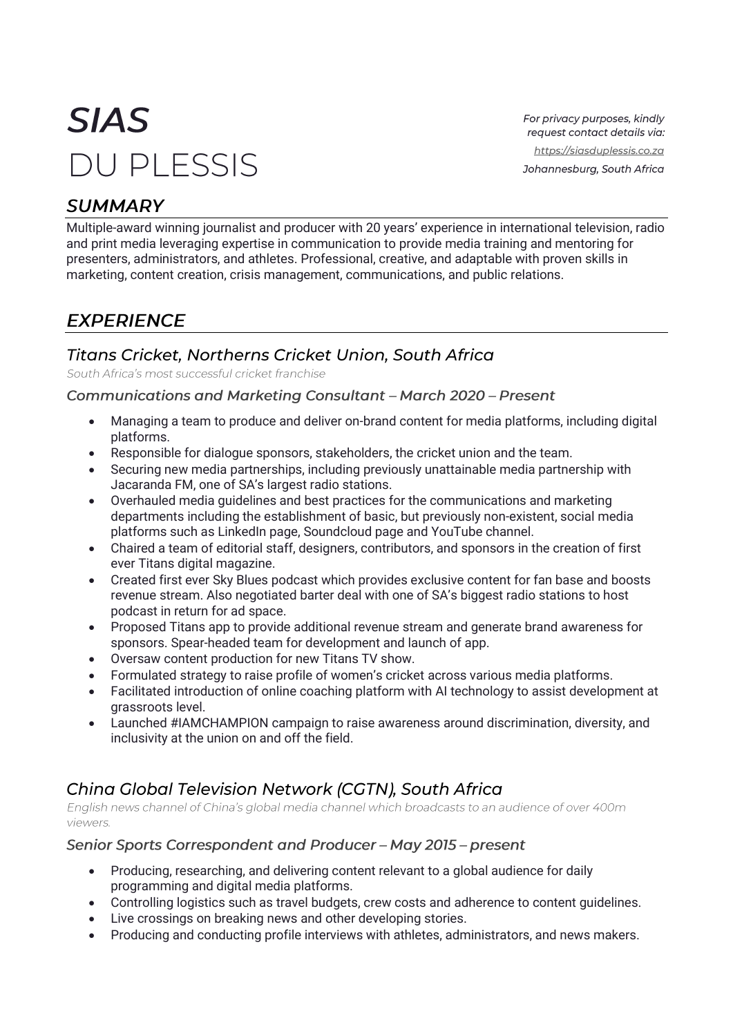# **SIAS DU PI ESSIS**

For privacy purposes, kindly request contact details via: https://siasduplessis.co.za Johannesburg, South Africa

# **SUMMARY**

Multiple-award winning journalist and producer with 20 years' experience in international television, radio and print media leveraging expertise in communication to provide media training and mentoring for presenters, administrators, and athletes. Professional, creative, and adaptable with proven skills in marketing, content creation, crisis management, communications, and public relations.

# **EXPERIENCE**

## Titans Cricket, Northerns Cricket Union, South Africa

South Africa's most successful cricket franchise

## **Communications and Marketing Consultant - March 2020 - Present**

- Managing a team to produce and deliver on-brand content for media platforms, including digital platforms.
- Responsible for dialogue sponsors, stakeholders, the cricket union and the team.
- Securing new media partnerships, including previously unattainable media partnership with Jacaranda FM, one of SA's largest radio stations.
- Overhauled media guidelines and best practices for the communications and marketing departments including the establishment of basic, but previously non-existent, social media platforms such as LinkedIn page, Soundcloud page and YouTube channel.
- Chaired a team of editorial staff, designers, contributors, and sponsors in the creation of first ever Titans digital magazine.
- Created first ever Sky Blues podcast which provides exclusive content for fan base and boosts revenue stream. Also negotiated barter deal with one of SA's biggest radio stations to host podcast in return for ad space.
- Proposed Titans app to provide additional revenue stream and generate brand awareness for sponsors. Spear-headed team for development and launch of app.
- Oversaw content production for new Titans TV show.
- Formulated strategy to raise profile of women's cricket across various media platforms.
- Facilitated introduction of online coaching platform with AI technology to assist development at grassroots level.
- Launched #IAMCHAMPION campaign to raise awareness around discrimination, diversity, and inclusivity at the union on and off the field.

## Ching Global Television Network (CGTN), South Africa

English news channel of China's global media channel which broadcasts to an audience of over 400m viewers.

### Senior Sports Correspondent and Producer - May 2015 - present

- Producing, researching, and delivering content relevant to a global audience for daily programming and digital media platforms.
- Controlling logistics such as travel budgets, crew costs and adherence to content guidelines.
- Live crossings on breaking news and other developing stories.
- Producing and conducting profile interviews with athletes, administrators, and news makers.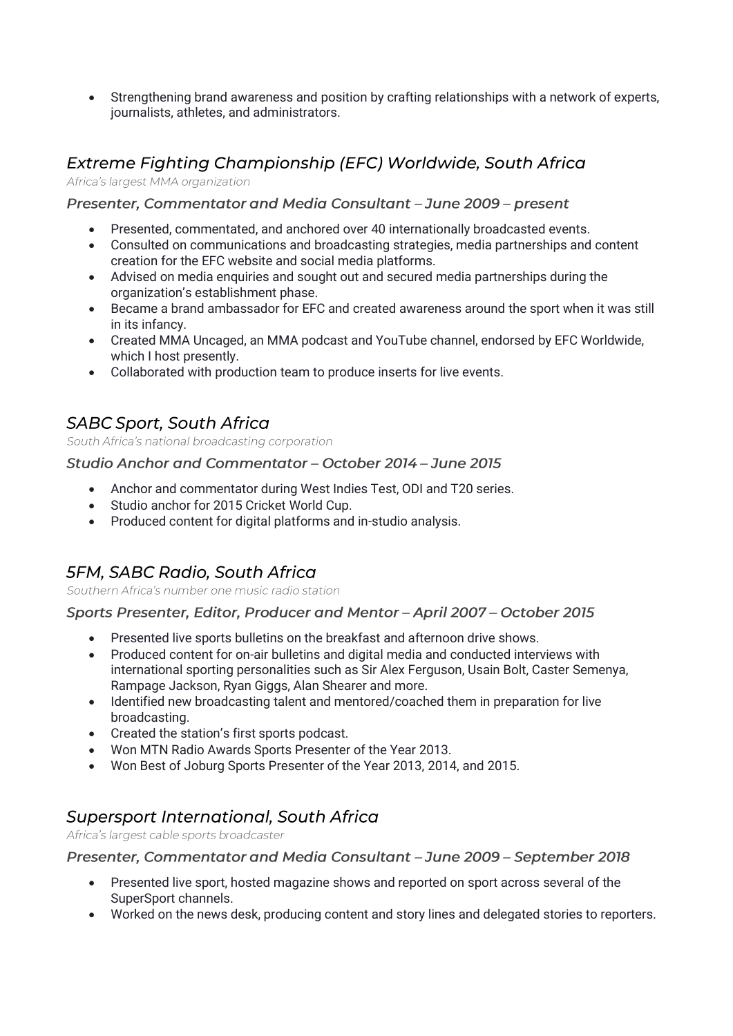• Strengthening brand awareness and position by crafting relationships with a network of experts, journalists, athletes, and administrators.

# Extreme Fighting Championship (EFC) Worldwide, South Africa

Africa's largest MMA organization

#### Presenter, Commentator and Media Consultant - June 2009 - present

- Presented, commentated, and anchored over 40 internationally broadcasted events.
- Consulted on communications and broadcasting strategies, media partnerships and content creation for the EFC website and social media platforms.
- Advised on media enquiries and sought out and secured media partnerships during the organization's establishment phase.
- Became a brand ambassador for EFC and created awareness around the sport when it was still in its infancy.
- Created MMA Uncaged, an MMA podcast and YouTube channel, endorsed by EFC Worldwide, which I host presently.
- Collaborated with production team to produce inserts for live events.

## **SABC Sport, South Africa**

South Africa's national broadcasting corporation

#### Studio Anchor and Commentator - October 2014 - June 2015

- Anchor and commentator during West Indies Test, ODI and T20 series.
- Studio anchor for 2015 Cricket World Cup.
- Produced content for digital platforms and in-studio analysis.

## **5FM, SABC Radio, South Africa**

Southern Africa's number one music radio station

#### Sports Presenter, Editor, Producer and Mentor - April 2007 - October 2015

- Presented live sports bulletins on the breakfast and afternoon drive shows.
- Produced content for on-air bulletins and digital media and conducted interviews with international sporting personalities such as Sir Alex Ferguson, Usain Bolt, Caster Semenya, Rampage Jackson, Ryan Giggs, Alan Shearer and more.
- Identified new broadcasting talent and mentored/coached them in preparation for live broadcasting.
- Created the station's first sports podcast.
- Won MTN Radio Awards Sports Presenter of the Year 2013.
- Won Best of Joburg Sports Presenter of the Year 2013, 2014, and 2015.

## **Supersport International, South Africa**

Africa's largest cable sports broadcaster

### Presenter, Commentator and Media Consultant - June 2009 - September 2018

- Presented live sport, hosted magazine shows and reported on sport across several of the SuperSport channels.
- Worked on the news desk, producing content and story lines and delegated stories to reporters.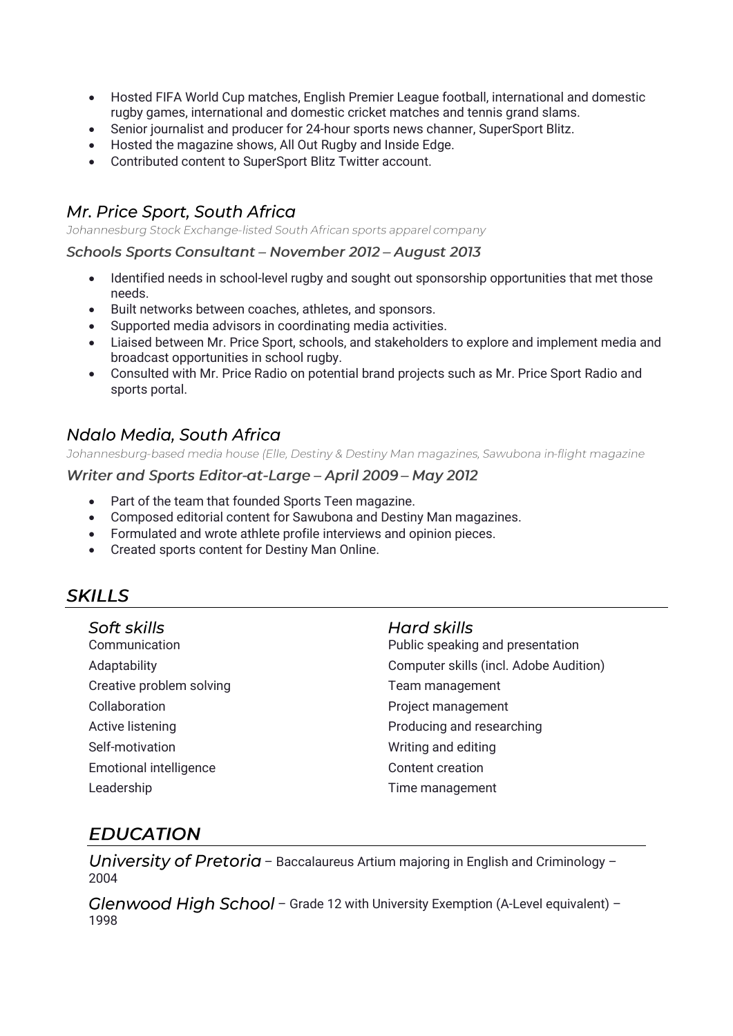- Hosted FIFA World Cup matches, English Premier League football, international and domestic rugby games, international and domestic cricket matches and tennis grand slams.
- Senior journalist and producer for 24-hour sports news channer, SuperSport Blitz.
- Hosted the magazine shows, All Out Rugby and Inside Edge.
- Contributed content to SuperSport Blitz Twitter account.

## Mr. Price Sport, South Africa

Johannesburg Stock Exchange-listed South African sports apparel company

#### Schools Sports Consultant - November 2012 - August 2013

- Identified needs in school-level rugby and sought out sponsorship opportunities that met those needs.
- Built networks between coaches, athletes, and sponsors.
- Supported media advisors in coordinating media activities.
- Liaised between Mr. Price Sport, schools, and stakeholders to explore and implement media and broadcast opportunities in school rugby.
- Consulted with Mr. Price Radio on potential brand projects such as Mr. Price Sport Radio and sports portal.

## Ndalo Media, South Africa

Johannesburg-based media house (Elle, Destiny & Destiny Man magazines, Sawubona in-flight magazine

#### Writer and Sports Editor-at-Large - April 2009 - May 2012

- Part of the team that founded Sports Teen magazine.
- Composed editorial content for Sawubona and Destiny Man magazines.
- Formulated and wrote athlete profile interviews and opinion pieces.
- Created sports content for Destiny Man Online.

## **SKILLS**

#### Soft skills

**Communication** Adaptability Creative problem solving Collaboration Active listening Self-motivation Emotional intelligence Leadership

### Hard skills

Public speaking and presentation Computer skills (incl. Adobe Audition) Team management Project management Producing and researching Writing and editing Content creation Time management

## **EDUCATION**

University of Pretoria – Baccalaureus Artium majoring in English and Criminology – 2004

Glenwood High School - Grade 12 with University Exemption (A-Level equivalent) -1998